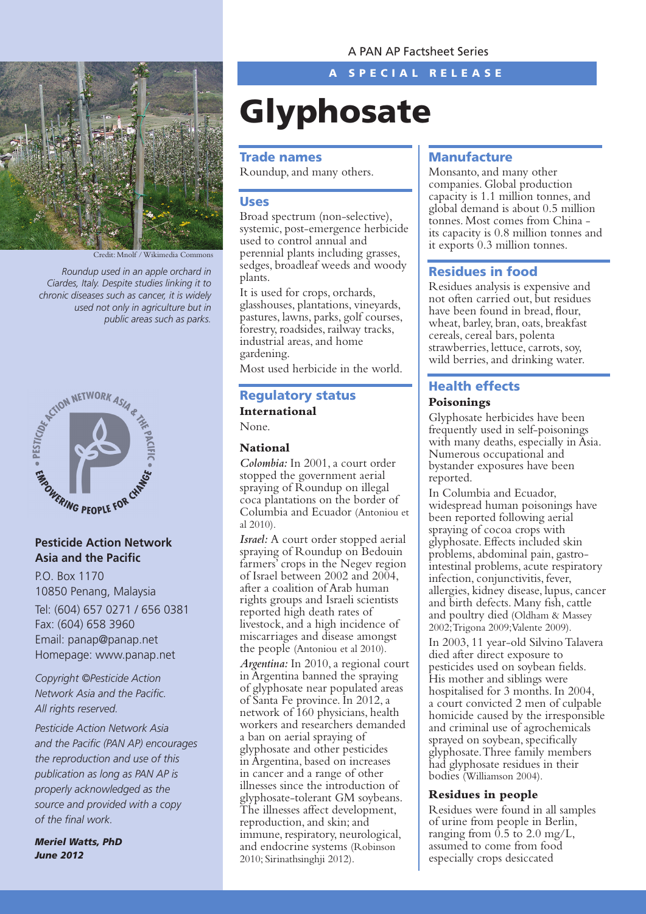

Credit: Mnolf / Wikimedia Common

*Roundup used in an apple orchard in Ciardes, Italy. Despite studies linking it to chronic diseases such as cancer, it is widely used not only in agriculture but in public areas such as parks.* 



# **Pesticide Action Network Asia and the Pacific**

P.O. Box 1170 10850 Penang, Malaysia Tel: (604) 657 0271 / 656 0381 Fax: (604) 658 3960 Email: panap@panap.net Homepage: www.panap.net

*Copyright ©Pesticide Action Network Asia and the Pacific. All rights reserved.*

*Pesticide Action Network Asia and the Pacific (PAN AP) encourages the reproduction and use of this publication as long as PAN AP is properly acknowledged as the source and provided with a copy of the final work.*

*Meriel Watts, PhD June 2012*

A SPECIAL RELEASE

# **Glyphosate**

#### Trade names

Roundup, and many others.

#### Uses

Broad spectrum (non-selective), systemic, post-emergence herbicide used to control annual and perennial plants including grasses, sedges, broadleaf weeds and woody plants.

It is used for crops, orchards, glasshouses, plantations, vineyards, pastures, lawns, parks, golf courses, forestry, roadsides, railway tracks, industrial areas, and home gardening.

Most used herbicide in the world.

# Regulatory status **International**

None.

#### **National**

*Colombia:* In 2001, a court order stopped the government aerial spraying of Roundup on illegal coca plantations on the border of Columbia and Ecuador (Antoniou et al 2010).

*Israel:* A court order stopped aerial spraying of Roundup on Bedouin farmers' crops in the Negev region of Israel between 2002 and 2004, after a coalition of Arab human rights groups and Israeli scientists reported high death rates of livestock, and a high incidence of miscarriages and disease amongst the people (Antoniou et al 2010). *Argentina:* In 2010, a regional court in Argentina banned the spraying of glyphosate near populated areas of Santa Fe province. In 2012, a network of 160 physicians, health workers and researchers demanded a ban on aerial spraying of glyphosate and other pesticides in Argentina, based on increases in cancer and a range of other illnesses since the introduction of glyphosate-tolerant GM soybeans. The illnesses affect development, reproduction, and skin; and immune, respiratory, neurological, and endocrine systems (Robinson 2010; Sirinathsinghji 2012).

### **Manufacture**

Monsanto, and many other companies. Global production capacity is 1.1 million tonnes, and global demand is about 0.5 million tonnes. Most comes from China its capacity is 0.8 million tonnes and it exports 0.3 million tonnes.

#### Residues in food

Residues analysis is expensive and not often carried out, but residues have been found in bread, flour, wheat, barley, bran, oats, breakfast cereals, cereal bars, polenta strawberries, lettuce, carrots, soy, wild berries, and drinking water.

# Health effects

#### **Poisonings**

Glyphosate herbicides have been frequently used in self-poisonings with many deaths, especially in Asia. Numerous occupational and bystander exposures have been reported.

In Columbia and Ecuador, widespread human poisonings have been reported following aerial spraying of cocoa crops with glyphosate. Effects included skin problems, abdominal pain, gastrointestinal problems, acute respiratory infection, conjunctivitis, fever, allergies, kidney disease, lupus, cancer and birth defects. Many fish, cattle and poultry died (Oldham & Massey 2002; Trigona 2009; Valente 2009).

In 2003, 11 year-old Silvino Talavera died after direct exposure to pesticides used on soybean fields. His mother and siblings were hospitalised for 3 months. In 2004, a court convicted 2 men of culpable homicide caused by the irresponsible and criminal use of agrochemicals sprayed on soybean, specifically glyphosate. Three family members had glyphosate residues in their bodies (Williamson 2004).

#### **Residues in people**

Residues were found in all samples of urine from people in Berlin, ranging from  $0.5$  to  $2.0$  mg/L, assumed to come from food especially crops desiccated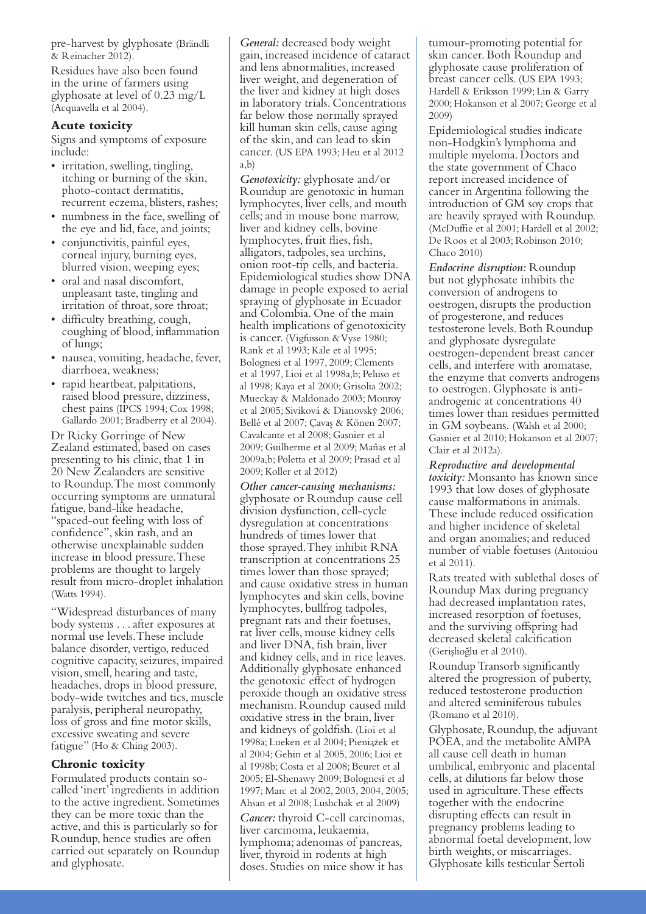pre-harvest by glyphosate (Brändli & Reinacher 2012).

Residues have also been found in the urine of farmers using glyphosate at level of 0.23 mg/L (Acquavella et al 2004).

#### **Acute toxicity**

Signs and symptoms of exposure include:

- irritation, swelling, tingling, itching or burning of the skin, photo-contact dermatitis, recurrent eczema, blisters, rashes;
- numbness in the face, swelling of the eye and lid, face, and joints;
- conjunctivitis, painful eyes, corneal injury, burning eyes, blurred vision, weeping eyes;
- • oral and nasal discomfort, unpleasant taste, tingling and irritation of throat, sore throat;
- difficulty breathing, cough, coughing of blood, inflammation of lungs;
- nausea, vomiting, headache, fever, diarrhoea, weakness;
- rapid heartbeat, palpitations, raised blood pressure, dizziness, chest pains (IPCS 1994; Cox 1998; Gallardo 2001; Bradberry et al 2004).

Dr Ricky Gorringe of New Zealand estimated, based on cases presenting to his clinic, that 1 in 20 New Zealanders are sensitive to Roundup. The most commonly occurring symptoms are unnatural fatigue, band-like headache, "spaced-out feeling with loss of confidence", skin rash, and an otherwise unexplainable sudden increase in blood pressure. These problems are thought to largely result from micro-droplet inhalation (Watts 1994).

"Widespread disturbances of many body systems . . . after exposures at normal use levels. These include balance disorder, vertigo, reduced cognitive capacity, seizures, impaired vision, smell, hearing and taste, headaches, drops in blood pressure, body-wide twitches and tics, muscle paralysis, peripheral neuropathy, loss of gross and fine motor skills, excessive sweating and severe fatigue" (Ho & Ching 2003).

#### **Chronic toxicity**

Formulated products contain socalled 'inert' ingredients in addition to the active ingredient. Sometimes they can be more toxic than the active, and this is particularly so for Roundup, hence studies are often carried out separately on Roundup and glyphosate.

*General:* decreased body weight gain, increased incidence of cataract and lens abnormalities, increased liver weight, and degeneration of the liver and kidney at high doses in laboratory trials. Concentrations far below those normally sprayed kill human skin cells, cause aging of the skin, and can lead to skin cancer. (US EPA 1993; Heu et al 2012 a,b)

*Genotoxicity:* glyphosate and/or Roundup are genotoxic in human lymphocytes, liver cells, and mouth cells; and in mouse bone marrow, liver and kidney cells, bovine lymphocytes, fruit flies, fish, alligators, tadpoles, sea urchins, onion root-tip cells, and bacteria. Epidemiological studies show DNA damage in people exposed to aerial spraying of glyphosate in Ecuador and Colombia. One of the main health implications of genotoxicity is cancer. (Vigfusson & Vyse 1980; Rank et al 1993; Kale et al 1995; Bolognesi et al 1997, 2009; Clements et al 1997, Lioi et al 1998a,b; Peluso et al 1998; Kaya et al 2000; Grisolia 2002; Mueckay & Maldonado 2003; Monroy et al 2005; Siviková & Dianovsky 2006; Bellé et al 2007; Çavas & Könen 2007; Cavalcante et al 2008; Gasnier et al 2009; Guilherme et al 2009; Mañas et al 2009a,b; Poletta et al 2009; Prasad et al 2009; Koller et al 2012)

*Other cancer-causing mechanisms:*  glyphosate or Roundup cause cell division dysfunction, cell-cycle dysregulation at concentrations hundreds of times lower that those sprayed. They inhibit RNA transcription at concentrations 25 times lower than those sprayed; and cause oxidative stress in human lymphocytes and skin cells, bovine lymphocytes, bullfrog tadpoles, pregnant rats and their foetuses, rat liver cells, mouse kidney cells and liver DNA, fish brain, liver and kidney cells, and in rice leaves. Additionally glyphosate enhanced the genotoxic effect of hydrogen peroxide though an oxidative stress mechanism. Roundup caused mild oxidative stress in the brain, liver and kidneys of goldfish. (Lioi et al 1998a; Lueken et al 2004; Pieniazek et al 2004; Gehin et al 2005, 2006; Lioi et al 1998b; Costa et al 2008; Beuret et al 2005; El-Shenawy 2009; Bolognesi et al 1997; Marc et al 2002, 2003, 2004, 2005; Ahsan et al 2008; Lushchak et al 2009)

*2* doses. Studies on mice show it has *Cancer:* thyroid C-cell carcinomas, liver carcinoma, leukaemia, lymphoma; adenomas of pancreas, liver, thyroid in rodents at high

tumour-promoting potential for skin cancer. Both Roundup and glyphosate cause proliferation of breast cancer cells. (US EPA 1993; Hardell & Eriksson 1999; Lin & Garry 2000; Hokanson et al 2007; George et al 2009)

Epidemiological studies indicate non-Hodgkin's lymphoma and multiple myeloma. Doctors and the state government of Chaco report increased incidence of cancer in Argentina following the introduction of GM soy crops that are heavily sprayed with Roundup. (McDuffie et al 2001; Hardell et al 2002; De Roos et al 2003; Robinson 2010; Chaco 2010)

*Endocrine disruption:* Roundup but not glyphosate inhibits the conversion of androgens to oestrogen, disrupts the production of progesterone, and reduces testosterone levels. Both Roundup and glyphosate dysregulate oestrogen-dependent breast cancer cells, and interfere with aromatase, the enzyme that converts androgens to oestrogen. Glyphosate is antiandrogenic at concentrations 40 times lower than residues permitted in GM soybeans. (Walsh et al 2000; Gasnier et al 2010; Hokanson et al 2007; Clair et al 2012a).

*Reproductive and developmental toxicity:* Monsanto has known since 1993 that low doses of glyphosate cause malformations in animals. These include reduced ossification and higher incidence of skeletal and organ anomalies; and reduced number of viable foetuses (Antoniou et al 2011).

Rats treated with sublethal doses of Roundup Max during pregnancy had decreased implantation rates, increased resorption of foetuses, and the surviving offspring had decreased skeletal calcification (Gerislioglu et al 2010).

Roundup Transorb significantly altered the progression of puberty, reduced testosterone production and altered seminiferous tubules (Romano et al 2010).

Glyphosate, Roundup, the adjuvant POEA, and the metabolite AMPA all cause cell death in human umbilical, embryonic and placental cells, at dilutions far below those used in agriculture. These effects together with the endocrine disrupting effects can result in pregnancy problems leading to abnormal foetal development, low birth weights, or miscarriages. Glyphosate kills testicular Sertoli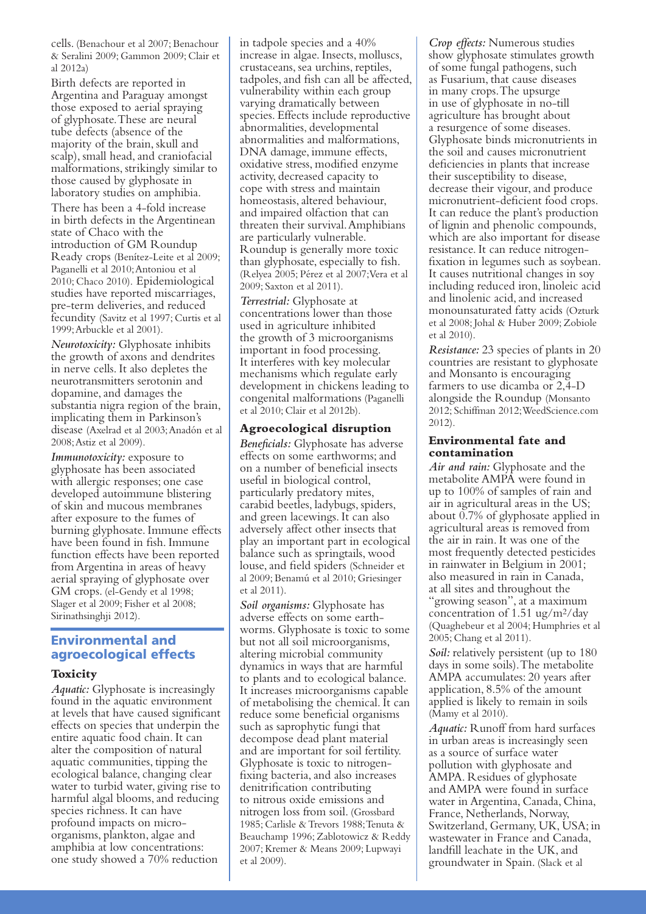cells. (Benachour et al 2007; Benachour & Seralini 2009; Gammon 2009; Clair et al 2012a)

Birth defects are reported in Argentina and Paraguay amongst those exposed to aerial spraying of glyphosate. These are neural tube defects (absence of the majority of the brain, skull and scalp), small head, and craniofacial malformations, strikingly similar to those caused by glyphosate in laboratory studies on amphibia.

There has been a 4-fold increase in birth defects in the Argentinean state of Chaco with the introduction of GM Roundup Ready crops (Benítez-Leite et al 2009; Paganelli et al 2010; Antoniou et al 2010; Chaco 2010). Epidemiological studies have reported miscarriages, pre-term deliveries, and reduced fecundity (Savitz et al 1997; Curtis et al 1999; Arbuckle et al 2001).

*Neurotoxicity:* Glyphosate inhibits the growth of axons and dendrites in nerve cells. It also depletes the neurotransmitters serotonin and dopamine, and damages the substantia nigra region of the brain, implicating them in Parkinson's disease (Axelrad et al 2003; Anadón et al 2008; Astiz et al 2009).

*Immunotoxicity:* exposure to glyphosate has been associated with allergic responses; one case developed autoimmune blistering of skin and mucous membranes after exposure to the fumes of burning glyphosate. Immune effects have been found in fish. Immune function effects have been reported from Argentina in areas of heavy aerial spraying of glyphosate over GM crops. (el-Gendy et al 1998; Slager et al 2009; Fisher et al 2008; Sirinathsinghji 2012).

# Environmental and agroecological effects

#### **Toxicity**

*Aquatic:* Glyphosate is increasingly found in the aquatic environment at levels that have caused significant effects on species that underpin the entire aquatic food chain. It can alter the composition of natural aquatic communities, tipping the ecological balance, changing clear water to turbid water, giving rise to harmful algal blooms, and reducing species richness. It can have profound impacts on microorganisms, plankton, algae and amphibia at low concentrations: one study showed a 70% reduction

in tadpole species and a 40% increase in algae. Insects, molluscs, crustaceans, sea urchins, reptiles, tadpoles, and fish can all be affected, vulnerability within each group varying dramatically between species. Effects include reproductive abnormalities, developmental abnormalities and malformations, DNA damage, immune effects, oxidative stress, modified enzyme activity, decreased capacity to cope with stress and maintain homeostasis, altered behaviour, and impaired olfaction that can threaten their survival. Amphibians are particularly vulnerable. Roundup is generally more toxic than glyphosate, especially to fish. (Relyea 2005; Pérez et al 2007; Vera et al 2009; Saxton et al 2011).

*Terrestrial:* Glyphosate at concentrations lower than those used in agriculture inhibited the growth of 3 microorganisms important in food processing. It interferes with key molecular mechanisms which regulate early development in chickens leading to congenital malformations (Paganelli et al 2010; Clair et al 2012b).

#### **Agroecological disruption**

*Beneficials:* Glyphosate has adverse effects on some earthworms; and on a number of beneficial insects useful in biological control, particularly predatory mites, carabid beetles, ladybugs, spiders, and green lacewings. It can also adversely affect other insects that play an important part in ecological balance such as springtails, wood louse, and field spiders (Schneider et al 2009; Benamú et al 2010; Griesinger et al 2011).

*Soil organisms:* Glyphosate has adverse effects on some earthworms. Glyphosate is toxic to some but not all soil microorganisms, altering microbial community dynamics in ways that are harmful to plants and to ecological balance. It increases microorganisms capable of metabolising the chemical. It can reduce some beneficial organisms such as saprophytic fungi that decompose dead plant material and are important for soil fertility. Glyphosate is toxic to nitrogenfixing bacteria, and also increases denitrification contributing to nitrous oxide emissions and nitrogen loss from soil. (Grossbard 1985; Carlisle & Trevors 1988; Tenuta & Beauchamp 1996; Zablotowicz & Reddy 2007; Kremer & Means 2009; Lupwayi et al 2009).

*Crop effects:* Numerous studies show glyphosate stimulates growth of some fungal pathogens, such as Fusarium, that cause diseases in many crops. The upsurge in use of glyphosate in no-till agriculture has brought about a resurgence of some diseases. Glyphosate binds micronutrients in the soil and causes micronutrient deficiencies in plants that increase their susceptibility to disease, decrease their vigour, and produce micronutrient-deficient food crops. It can reduce the plant's production of lignin and phenolic compounds, which are also important for disease resistance. It can reduce nitrogenfixation in legumes such as soybean. It causes nutritional changes in soy including reduced iron, linoleic acid and linolenic acid, and increased monounsaturated fatty acids (Ozturk et al 2008; Johal & Huber 2009; Zobiole et al 2010).

*Resistance:* 23 species of plants in 20 countries are resistant to glyphosate and Monsanto is encouraging farmers to use dicamba or 2,4-D alongside the Roundup (Monsanto 2012; Schiffman 2012; WeedScience.com 2012).

#### **Environmental fate and contamination**

*Air and rain:* Glyphosate and the metabolite AMPA were found in up to 100% of samples of rain and air in agricultural areas in the US; about 0.7% of glyphosate applied in agricultural areas is removed from the air in rain. It was one of the most frequently detected pesticides in rainwater in Belgium in 2001; also measured in rain in Canada, at all sites and throughout the "growing season", at a maximum concentration of 1.51 ug/m2/day (Quaghebeur et al 2004; Humphries et al 2005; Chang et al 2011).

*Soil:* relatively persistent (up to 180 days in some soils). The metabolite AMPA accumulates: 20 years after application, 8.5% of the amount applied is likely to remain in soils (Mamy et al 2010).

*Aquatic:* Runoff from hard surfaces in urban areas is increasingly seen as a source of surface water pollution with glyphosate and AMPA. Residues of glyphosate and AMPA were found in surface water in Argentina, Canada, China, France, Netherlands, Norway, Switzerland, Germany, UK, USA; in wastewater in France and Canada, landfill leachate in the UK, and groundwater in Spain. (Slack et al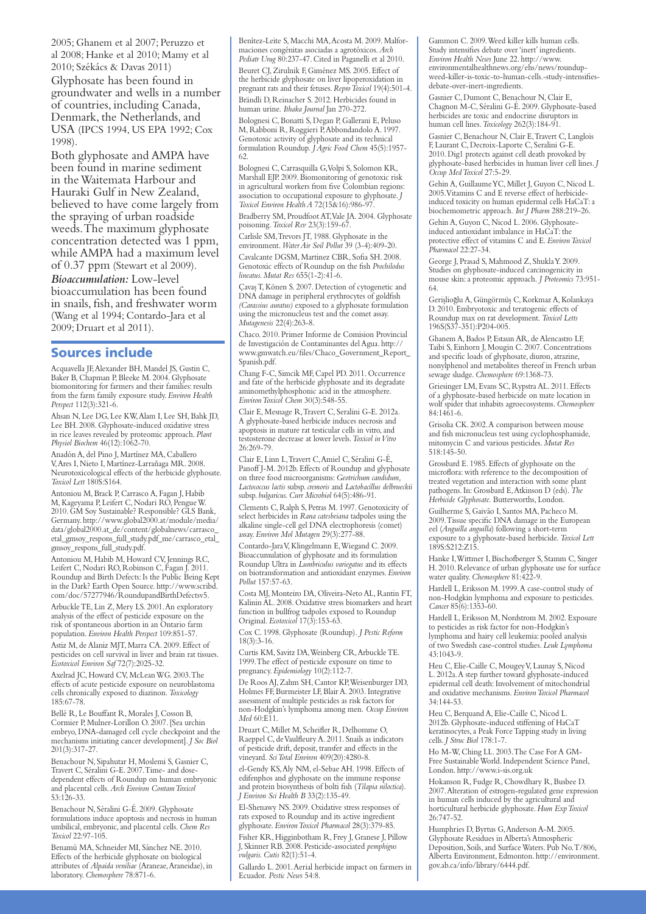2005; Ghanem et al 2007; Peruzzo et al 2008; Hanke et al 2010; Mamy et al 2010; Székács & Davas 2011)

Glyphosate has been found in groundwater and wells in a number of countries, including Canada, Denmark, the Netherlands, and USA (IPCS 1994, US EPA 1992; Cox 1998).

Both glyphosate and AMPA have been found in marine sediment in the Waitemata Harbour and Hauraki Gulf in New Zealand, believed to have come largely from the spraying of urban roadside weeds. The maximum glyphosate concentration detected was 1 ppm, while AMPA had a maximum level of 0.37 ppm (Stewart et al 2009). *Bioaccumulation:* Low-level bioaccumulation has been found in snails, fish, and freshwater worm (Wang et al 1994; Contardo-Jara et al 2009; Druart et al 2011).

#### Sources include

Acquavella JF, Alexander BH, Mandel JS, Gustin C, Baker B, Chapman P, Bleeke M. 2004. Glyphosate biomonitoring for farmers and their families: results from the farm family exposure study. *Environ Health Perspect* 112(3):321-6.

Ahsan N, Lee DG, Lee KW, Alam I, Lee SH, Bahk JD, Lee BH. 2008. Glyphosate-induced oxidative stress in rice leaves revealed by proteomic approach. *Plant Physiol Biochem* 46(12):1062-70.

Anadón A, del Pino J, Martínez MA, Caballero V, Ares I, Nieto I, Martínez-Larrañaga MR. 2008. Neurotoxicological effects of the herbicide glyphosate. *Toxicol Lett* 180S:S164.

Antoniou M, Brack P, Carrasco A, Fagan J, Habib M, Kageyama P, Leifert C, Nodari RO, Pengue W. 2010. GM Soy Sustainable? Responsible? GLS Bank, Germany. http://www.global2000.at/module/media/ data/global2000.at\_de/content/globalnews/carrasco\_ etal\_gmsoy\_respons\_full\_study.pdf\_me/carrasco\_etal\_ gmsoy\_respons\_full\_study.pdf.

Antoniou M, Habib M, Howard CV, Jennings RC, Leifert C, Nodari RO, Robinson C, Fagan J. 2011. Roundup and Birth Defects: Is the Public Being Kept in the Dark? Earth Open Source. http://www.scribd. com/doc/57277946/RoundupandBirthDefectsv5. Arbuckle TE, Lin Z, Mery LS. 2001. An exploratory analysis of the effect of pesticide exposure on the risk of spontaneous abortion in an Ontario farm population. *Environ Health Perspect* 109:851-57. Astiz M, de Alaniz MJT, Marra CA. 2009. Effect of pesticides on cell survival in liver and brain rat tissues. *Ecotoxicol Environ Saf* 72(7):2025-32.

Axelrad JC, Howard CV, McLean WG. 2003. The effects of acute pesticide exposure on neuroblastoma cells chronically exposed to diazinon. *Toxicology*  185:67-78.

Bellé R, Le Bouffant R, Morales J, Cosson B, Cormier P, Mulner-Lorillon O. 2007. [Sea urchin embryo, DNA-damaged cell cycle checkpoint and the mechanisms initiating cancer development]. *J Soc Biol*  201(3):317-27.

Benachour N, Sipahutar H, Moslemi S, Gasnier C, Travert C, Séralini G-E. 2007. Time- and dosedependent effects of Roundup on human embryonic and placental cells. *Arch Environ Contam Toxicol*  53:126-33.

Benachour N, Séralini G-É. 2009. Glyphosate formulations induce apoptosis and necrosis in human umbilical, embryonic, and placental cells. *Chem Res Toxicol* 22:97-105.

Benamú MA, Schneider MI, Sánchez NE. 2010. Effects of the herbicide glyphosate on biological attributes of *Alpaida veniliae* (Araneae, Araneidae), in laboratory. *Chemosphere* 78:871-6.

Benítez-Leite S, Macchi MA, Acosta M. 2009. Malformaciones congénitas asociadas a agrotóxicos. *Arch Pediatr Urug* 80:237-47. Cited in Paganelli et al 2010. Beuret CJ, Zirulnik F, Giménez MS. 2005. Effect of the herbicide glyphosate on liver lipoperoxidation in pregnant rats and their fetuses. *Repro Toxicol* 19(4):501-4. Brändli D, Reinacher S. 2012. Herbicides found in human urine. *Ithaka Journal* Jan 270-272.

Bolognesi C, Bonatti S, Degan P, Gallerani E, Peluso M, Rabboni R, Roggieri P, Abbondandolo A. 1997. Genotoxic activity of glyphosate and its technical formulation Roundup. *J Agric Food Chem* 45(5):1957- 62.

Bolognesi C, Carrasquilla G, Volpi S, Solomon KR, Marshall EIP. 2009. Biomonitoring of genotoxic risk in agricultural workers from five Colombian regions: association to occupational exposure to glyphosate. *J Toxicol Environ Health A* 72(15&16):986-97. Bradberry SM, Proudfoot AT, Vale JA. 2004. Glyphosate

poisoning. *Toxicol Rev* 23(3):159-67.

Carlisle SM, Trevors JT, 1988. Glyphosate in the environment. *Water Air Soil Pollut* 39 (3-4):409-20.

Cavalcante DGSM, Martinez CBR, Sofia SH. 2008. Genotoxic effects of Roundup on the fish *Prochilodus lineatus. Mutat Res* 655(1-2):41-6.

Çavas T, Könen S. 2007. Detection of cytogenetic and DNA damage in peripheral erythrocytes of goldfish *(Carassius auratus)* exposed to a glyphosate formulation using the micronucleus test and the comet assay. *Mutagenesis* 22(4):263-8.

Chaco. 2010. Primer Informe de Comision Provincial de Investigación de Contaminantes del Agua. http:// www.gmwatch.eu/files/Chaco\_Government\_Report\_ Spanish.pdf.

Chang F-C, Simcik MF, Capel PD. 2011. Occurrence and fate of the herbicide glyphosate and its degradate aminomethylphosphonic acid in the atmosphere. *Environ Toxicol Chem* 30(3):548-55.

Clair E, Mesnage R, Travert C, Seralini G-E. 2012a. A glyphosate-based herbicide induces necrosis and apoptosis in mature rat testicular cells in vitro, and testosterone decrease at lower levels. *Toxicol in Vitro* 26:269-79.

Clair E, Linn L, Travert C, Amiel C, Séralini G-É, Panoff J-M. 2012b. Effects of Roundup and glyphosate on three food microorganisms: *Geotrichum candidum, Lactococcus lactis* subsp. *cremoris* and *Lactobacillus delbrueckii*  subsp. *bulgaricus. Curr Microbiol* 64(5):486-91.

Clements C, Ralph S, Petras M. 1997. Genotoxicity of select herbicides in *Rana catesbeiana* tadpoles using the alkaline single-cell gel DNA electrophoresis (comet) assay. *Environ Mol Mutagen* 29(3):277-88.

Contardo-Jara V, Klingelmann E, Wiegand C. 2009. Bioaccumulation of glyphosate and its formulation Roundup Ultra in *Lumbriculus variegatus* and its effects on biotransformation and antioxidant enzymes. *Environ Pollut* 157:57-63.

Costa MJ, Monteiro DA, Oliveira-Neto AL, Rantin FT, Kalinin AL. 2008. Oxidative stress biomarkers and heart function in bullfrog tadpoles exposed to Roundup Original. *Ecotoxicol* 17(3):153-63.

Cox C. 1998. Glyphosate (Roundup). *J Pestic Reform*  $18(3) \cdot 3 - 16$ 

Curtis KM, Savitz DA, Weinberg CR, Arbuckle TE. 1999. The effect of pesticide exposure on time to pregnancy. *Epidemiology* 10(2):112-7.

De Roos AJ, Zahm SH, Cantor KP, Weisenburger DD, Holmes FF, Burmeister LF, Blair A. 2003. Integrative assessment of multiple pesticides as risk factors for non-Hodgkin's lymphoma among men. *Occup Environ Med* 60:E11.

Druart C, Millet M, Scheifler R, Delhomme O, Raeppel C, de Vaulfleury A. 2011. Snails as indicators of pesticide drift, deposit, transfer and effects in the vineyard. *Sci Total Environ* 409(20):4280-8.

el-Gendy KS, Aly NM, el-Sebae AH. 1998. Effects of edifenphos and glyphosate on the immune response and protein biosynthesis of bolti fish (*Tilapia niloctica*). *J Environ Sci Health B* 33(2):135-49.

El-Shenawy NS. 2009. Oxidative stress responses of rats exposed to Roundup and its active ingredient glyphosate. *Environ Toxicol Pharmacol* 28(3):379-85.

Fisher KR, Higginbotham R, Frey J, Granese J, Pillow J, Skinner RB. 2008. Pesticide-associated *pemphigus vulgaris. Cutis* 82(1):51-4.

Gallardo L. 2001. Aerial herbicide impact on farmers in<br>Ecuador. *Pestic News* 54:8. Ecuador. *Pestic News* 54:8.

Gammon C. 2009. Weed killer kills human cells. Study intensifies debate over 'inert' ingredients. *Environ Health News* June 22. http://www. environmentalhealthnews.org/ehs/news/roundupweed-killer-is-toxic-to-human-cells.-study-intensifiesdebate-over-inert-ingredients.

Gasnier C, Dumont C, Benachour N, Clair E, Chagnon M-C, Séralini G-É. 2009. Glyphosate-based herbicides are toxic and endocrine disruptors in human cell lines. *Toxicology* 262(3):184-91.

Gasnier C, Benachour N, Clair E, Travert C, Langlois F, Laurant C, Decroix-Laporte C, Seralini G-E. 2010. Dig1 protects against cell death provoked by glyphosate-based herbicides in human liver cell lines. *J Occup Med Toxicol* 27:5-29.

Gehin A, Guillaume YC, Millet J, Guyon C, Nicod L. 2005. Vitamins C and E reverse effect of herbicideinduced toxicity on human epidermal cells HaCaT: a biochemometric approach. *Int J Pharm* 288:219–26.

Gehin A, Guyon C, Nicod L. 2006. Glyphosateinduced antioxidant imbalance in HaCaT: the protective effect of vitamins C and E. *Environ Toxicol Pharmacol* 22:27-34.

George J, Prasad S, Mahmood Z, Shukla Y. 2009. Studies on glyphosate-induced carcinogenicity in mouse skin: a proteomic approach. *J Proteomics* 73:951- 64.

Gerislioglu A, Güngörmüs C, Korkmaz A, Kolankaya D. 2010. Embryotoxic and teratogenic effects of Roundup max on rat development. *Toxicol Letts*  196S(S37-351):P204-005.

Ghanem A, Bados P, Estaun AR, de Alencastro LF, Taibi S, Einhorn J, Mougin C. 2007. Concentrations and specific loads of glyphosate, diuron, atrazine, nonylphenol and metabolites thereof in French urban sewage sludge. *Chemosphere* 69:1368-73.

Griesinger LM, Evans SC, Rypstra AL. 2011. Effects of a glyphosate-based herbicide on mate location in wolf spider that inhabits agroecosystems. *Chemosphere*  84:1461-6.

Grisolia CK. 2002. A comparison between mouse and fish micronucleus test using cyclophosphamide, mitomycin C and various pesticides. *Mutat Res*  518:145-50.

Grossbard E. 1985. Effects of glyphosate on the microflora: with reference to the decomposition of treated vegetation and interaction with some plant pathogens. In: Grossbard E, Atkinson D (eds). *The Herbicide Glyphosate.* Butterworths, London.

Guilherme S, Gaivão I, Santos MA, Pacheco M. 2009. Tissue specific DNA damage in the European eel (*Anguilla anguilla*) following a short-term exposure to a glyphosate-based herbicide. *Toxicol Lett*  189S:S212:Z15.

Hanke I, Wittmer I, Bischofberger S, Stamm C, Singer H. 2010. Relevance of urban glyphosate use for surface water quality. *Chemosphere* 81:422-9.

Hardell L, Eriksson M. 1999. A case-control study of non-Hodgkin lymphoma and exposure to pesticides. *Cancer* 85(6):1353-60.

Hardell L, Eriksson M, Nordstrom M. 2002. Exposure to pesticides as risk factor for non-Hodgkin's lymphoma and hairy cell leukemia: pooled analysis of two Swedish case-control studies. *Leuk Lymphoma* 43:1043-9.

Heu C, Elie-Caille C, Mougey V, Launay S, Nicod L. 2012a. A step further toward glyphosate-induced epidermal cell death: Involvement of mitochondrial and oxidative mechanisms. *Environ Toxicol Pharmacol*  34:144-53.

Heu C, Berquand A, Elie-Caille C, Nicod L. 2012b. Glyphosate-induced stiffening of HaCaT keratinocytes, a Peak Force Tapping study in living cells. *J Struc Biol* 178:1-7.

Ho M-W, Ching LL. 2003. The Case For A GM-Free Sustainable World. Independent Science Panel, London. http://www.i-sis.org.uk

Hokanson R, Fudge R, Chowdhary R, Busbee D. 2007. Alteration of estrogen-regulated gene expression in human cells induced by the agricultural and horticultural herbicide glyphosate. *Hum Exp Toxicol*  26:747-52.

Humphries D, Byrtus G, Anderson A-M. 2005. Glyphosate Residues in Alberta's Atmospheric Deposition, Soils, and Surface Waters. Pub No. T/806, Alberta Environment, Edmonton. http://environment. gov.ab.ca/info/library/6444.pdf.